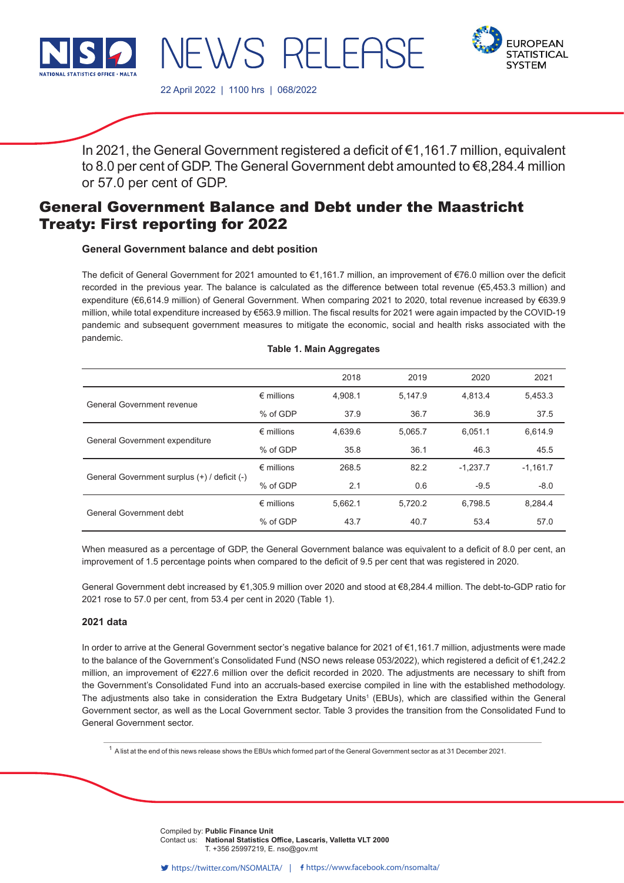

**EUROPEAN STATISTICAL SYSTEM** 

22 April 2022 | 1100 hrs | 068/2022

In 2021, the General Government registered a deficit of €1,161.7 million, equivalent to 8.0 per cent of GDP. The General Government debt amounted to €8,284.4 million or 57.0 per cent of GDP.

# General Government Balance and Debt under the Maastricht Treaty: First reporting for 2022

NEWS RELEAS

# **General Government balance and debt position**

The deficit of General Government for 2021 amounted to €1,161.7 million, an improvement of €76.0 million over the deficit recorded in the previous year. The balance is calculated as the difference between total revenue (€5,453.3 million) and expenditure (€6,614.9 million) of General Government. When comparing 2021 to 2020, total revenue increased by €639.9 million, while total expenditure increased by €563.9 million. The fiscal results for 2021 were again impacted by the COVID-19 pandemic and subsequent government measures to mitigate the economic, social and health risks associated with the pandemic.

|  |  |  |  | <b>Table 1. Main Aggregates</b> |
|--|--|--|--|---------------------------------|
|--|--|--|--|---------------------------------|

|                                              |                     | 2018    | 2019    | 2020       | 2021       |
|----------------------------------------------|---------------------|---------|---------|------------|------------|
|                                              | $\epsilon$ millions | 4,908.1 | 5,147.9 | 4,813.4    | 5,453.3    |
| <b>General Government revenue</b>            | % of GDP            | 37.9    | 36.7    | 36.9       | 37.5       |
|                                              | $\epsilon$ millions | 4.639.6 | 5.065.7 | 6.051.1    | 6.614.9    |
| General Government expenditure               | % of GDP            | 35.8    | 36.1    | 46.3       | 45.5       |
|                                              | $\epsilon$ millions | 268.5   | 82.2    | $-1.237.7$ | $-1.161.7$ |
| General Government surplus (+) / deficit (-) | % of GDP            | 2.1     | 0.6     | $-9.5$     | $-8.0$     |
| General Government debt                      | $\epsilon$ millions | 5,662.1 | 5,720.2 | 6.798.5    | 8,284.4    |
|                                              | % of GDP            | 43.7    | 40.7    | 53.4       | 57.0       |

When measured as a percentage of GDP, the General Government balance was equivalent to a deficit of 8.0 per cent, an improvement of 1.5 percentage points when compared to the deficit of 9.5 per cent that was registered in 2020.

General Government debt increased by €1,305.9 million over 2020 and stood at €8,284.4 million. The debt-to-GDP ratio for 2021 rose to 57.0 per cent, from 53.4 per cent in 2020 (Table 1).

## **2021 data**

In order to arrive at the General Government sector's negative balance for 2021 of €1,161.7 million, adjustments were made to the balance of the Government's Consolidated Fund (NSO news release 053/2022), which registered a deficit of €1,242.2 million, an improvement of €227.6 million over the deficit recorded in 2020. The adjustments are necessary to shift from the Government's Consolidated Fund into an accruals-based exercise compiled in line with the established methodology. The adjustments also take in consideration the Extra Budgetary Units<sup>1</sup> (EBUs), which are classified within the General Government sector, as well as the Local Government sector. Table 3 provides the transition from the Consolidated Fund to General Government sector.

 $1$  A list at the end of this news release shows the EBUs which formed part of the General Government sector as at 31 December 2021.

n Kindly indicate source when the source when  $\Gamma$ Compiled by: **Public Finance Unit** Issued by: **Dissemination Unit, National Statistics Office, Lascaris, Valletta VLT 2000, Malta.** T. +356 25997219, E. nso@gov.mt Contact us: **National Statistics Office, Lascaris, Valletta VLT 2000**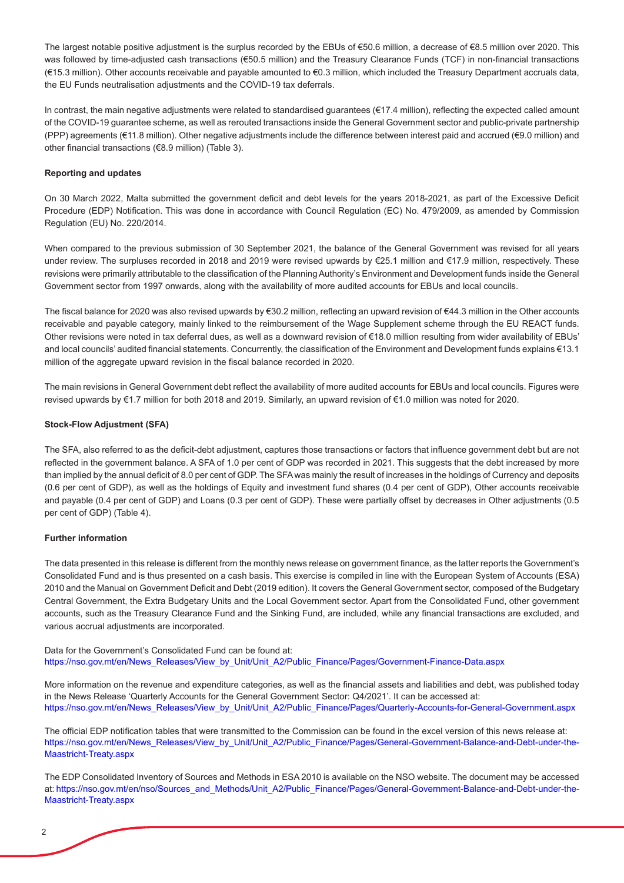The largest notable positive adjustment is the surplus recorded by the EBUs of €50.6 million, a decrease of €8.5 million over 2020. This was followed by time-adjusted cash transactions (€50.5 million) and the Treasury Clearance Funds (TCF) in non-financial transactions (€15.3 million). Other accounts receivable and payable amounted to €0.3 million, which included the Treasury Department accruals data, the EU Funds neutralisation adjustments and the COVID-19 tax deferrals.

In contrast, the main negative adjustments were related to standardised guarantees (€17.4 million), reflecting the expected called amount of the COVID-19 guarantee scheme, as well as rerouted transactions inside the General Government sector and public-private partnership (PPP) agreements (€11.8 million). Other negative adjustments include the difference between interest paid and accrued (€9.0 million) and other financial transactions (€8.9 million) (Table 3).

## **Reporting and updates**

On 30 March 2022, Malta submitted the government deficit and debt levels for the years 2018-2021, as part of the Excessive Deficit Procedure (EDP) Notification. This was done in accordance with Council Regulation (EC) No. 479/2009, as amended by Commission Regulation (EU) No. 220/2014.

When compared to the previous submission of 30 September 2021, the balance of the General Government was revised for all years under review. The surpluses recorded in 2018 and 2019 were revised upwards by €25.1 million and €17.9 million, respectively. These revisions were primarily attributable to the classification of the Planning Authority's Environment and Development funds inside the General Government sector from 1997 onwards, along with the availability of more audited accounts for EBUs and local councils.

The fiscal balance for 2020 was also revised upwards by €30.2 million, reflecting an upward revision of €44.3 million in the Other accounts receivable and payable category, mainly linked to the reimbursement of the Wage Supplement scheme through the EU REACT funds. Other revisions were noted in tax deferral dues, as well as a downward revision of €18.0 million resulting from wider availability of EBUs' and local councils' audited financial statements. Concurrently, the classification of the Environment and Development funds explains €13.1 million of the aggregate upward revision in the fiscal balance recorded in 2020.

The main revisions in General Government debt reflect the availability of more audited accounts for EBUs and local councils. Figures were revised upwards by €1.7 million for both 2018 and 2019. Similarly, an upward revision of €1.0 million was noted for 2020.

## **Stock-Flow Adjustment (SFA)**

The SFA, also referred to as the deficit-debt adjustment, captures those transactions or factors that influence government debt but are not reflected in the government balance. A SFA of 1.0 per cent of GDP was recorded in 2021. This suggests that the debt increased by more than implied by the annual deficit of 8.0 per cent of GDP. The SFA was mainly the result of increases in the holdings of Currency and deposits (0.6 per cent of GDP), as well as the holdings of Equity and investment fund shares (0.4 per cent of GDP), Other accounts receivable and payable (0.4 per cent of GDP) and Loans (0.3 per cent of GDP). These were partially offset by decreases in Other adjustments (0.5 per cent of GDP) (Table 4).

## **Further information**

The data presented in this release is different from the monthly news release on government finance, as the latter reports the Government's Consolidated Fund and is thus presented on a cash basis. This exercise is compiled in line with the European System of Accounts (ESA) 2010 and the Manual on Government Deficit and Debt (2019 edition). It covers the General Government sector, composed of the Budgetary Central Government, the Extra Budgetary Units and the Local Government sector. Apart from the Consolidated Fund, other government accounts, such as the Treasury Clearance Fund and the Sinking Fund, are included, while any financial transactions are excluded, and various accrual adjustments are incorporated.

Data for the Government's Consolidated Fund can be found at: https://nso.gov.mt/en/News\_Releases/View\_by\_Unit/Unit\_A2/Public\_Finance/Pages/Government-Finance-Data.aspx

More information on the revenue and expenditure categories, as well as the financial assets and liabilities and debt, was published today in the News Release 'Quarterly Accounts for the General Government Sector: Q4/2021'. It can be accessed at: https://nso.gov.mt/en/News\_Releases/View\_by\_Unit/Unit\_A2/Public\_Finance/Pages/Quarterly-Accounts-for-General-Government.aspx

The official EDP notification tables that were transmitted to the Commission can be found in the excel version of this news release at: [https://nso.gov.mt/en/News\\_Releases/View\\_by\\_Unit/Unit\\_A2/Public\\_Finance/Pages/General-Government-Balance-and-Debt-under-the-](https://nso.gov.mt/en/News_Releases/View_by_Unit/Unit_A2/Public_Finance/Pages/General-Government-Balance-and-Debt-under-the-Maastricht-Treaty.aspx)Maastricht-Treaty.aspx

The EDP Consolidated Inventory of Sources and Methods in ESA 2010 is available on the NSO website. The document may be accessed at: https://nso.gov.mt/en/nso/Sources\_and\_Methods/Unit\_A2/Public\_Finance/Pages/General-Government-Balance-and-Debt-under-the-Maastricht-Treaty.aspx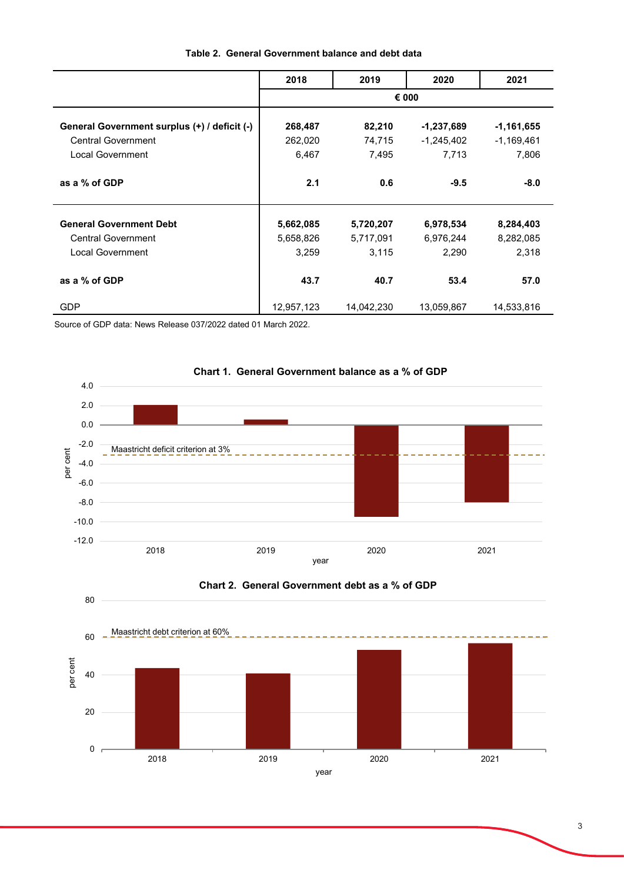|                                              | 2018       | 2019       | 2020         | 2021         |
|----------------------------------------------|------------|------------|--------------|--------------|
|                                              |            |            | € 000        |              |
| General Government surplus (+) / deficit (-) | 268,487    | 82,210     | -1,237,689   | $-1,161,655$ |
| <b>Central Government</b>                    | 262,020    | 74,715     | $-1,245,402$ | $-1,169,461$ |
| Local Government                             | 6,467      | 7,495      | 7,713        | 7,806        |
|                                              |            |            |              |              |
| as a % of GDP                                | 2.1        | 0.6        | $-9.5$       | $-8.0$       |
|                                              |            |            |              |              |
| <b>General Government Debt</b>               | 5,662,085  | 5,720,207  | 6,978,534    | 8,284,403    |
| <b>Central Government</b>                    | 5,658,826  | 5,717,091  | 6,976,244    | 8,282,085    |
| Local Government                             | 3,259      | 3,115      | 2,290        | 2,318        |
|                                              |            |            |              |              |
| as a % of GDP                                | 43.7       | 40.7       | 53.4         | 57.0         |
| <b>GDP</b>                                   | 12,957,123 | 14,042,230 | 13,059,867   | 14,533,816   |

# **Table 2. General Government balance and debt data**

Source of GDP data: News Release 037/2022 dated 01 March 2022.

80





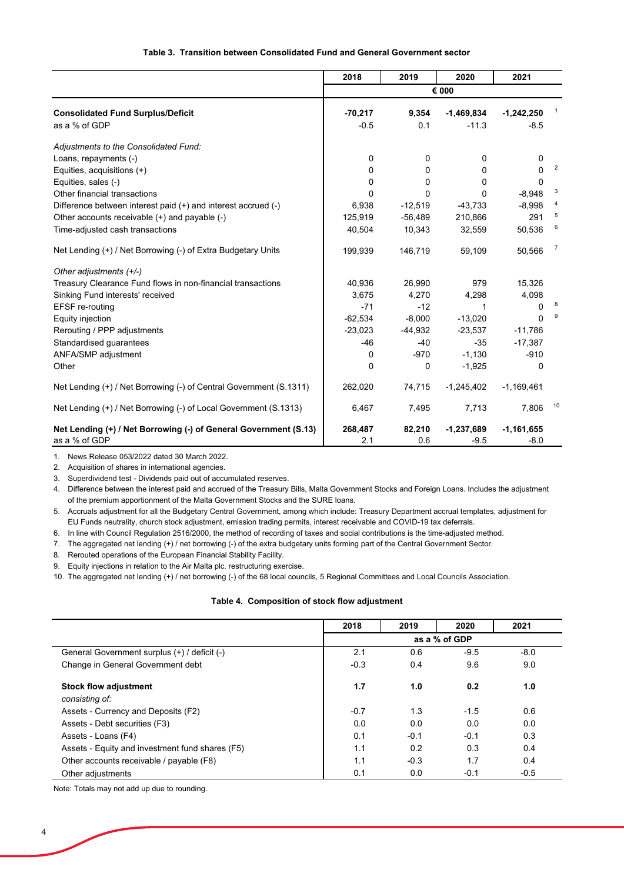## **Table 3. Transition between Consolidated Fund and General Government sector**

|                                                                    | 2018      | 2019      | 2020         | 2021         |                |
|--------------------------------------------------------------------|-----------|-----------|--------------|--------------|----------------|
|                                                                    |           |           | € 000        |              |                |
| <b>Consolidated Fund Surplus/Deficit</b>                           | $-70,217$ | 9,354     | $-1,469,834$ | $-1,242,250$ |                |
| as a % of GDP                                                      | $-0.5$    | 0.1       | $-11.3$      | $-8.5$       |                |
| Adjustments to the Consolidated Fund:                              |           |           |              |              |                |
| Loans, repayments (-)                                              | 0         | 0         | 0            | 0            |                |
| Equities, acquisitions (+)                                         | 0         | 0         | 0            | $\Omega$     | 2              |
| Equities, sales (-)                                                | 0         | 0         | 0            | $\Omega$     |                |
| Other financial transactions                                       | 0         | 0         | 0            | $-8,948$     | 3              |
| Difference between interest paid (+) and interest accrued (-)      | 6,938     | $-12,519$ | $-43,733$    | $-8,998$     |                |
| Other accounts receivable (+) and payable (-)                      | 125,919   | $-56,489$ | 210,866      | 291          | 5              |
| Time-adjusted cash transactions                                    | 40,504    | 10,343    | 32,559       | 50,536       | 6              |
| Net Lending (+) / Net Borrowing (-) of Extra Budgetary Units       | 199,939   | 146,719   | 59,109       | 50,566       | $\overline{7}$ |
| Other adjustments (+/-)                                            |           |           |              |              |                |
| Treasury Clearance Fund flows in non-financial transactions        | 40.936    | 26.990    | 979          | 15,326       |                |
| Sinking Fund interests' received                                   | 3,675     | 4.270     | 4,298        | 4,098        |                |
| EFSF re-routing                                                    | $-71$     | $-12$     | 1            | $\Omega$     | 8              |
| Equity injection                                                   | $-62,534$ | $-8,000$  | $-13,020$    | $\Omega$     | 9              |
| Rerouting / PPP adjustments                                        | $-23,023$ | $-44,932$ | $-23,537$    | $-11,786$    |                |
| Standardised guarantees                                            | $-46$     | $-40$     | $-35$        | $-17,387$    |                |
| ANFA/SMP adjustment                                                | 0         | $-970$    | $-1,130$     | $-910$       |                |
| Other                                                              | 0         | 0         | $-1,925$     | 0            |                |
| Net Lending (+) / Net Borrowing (-) of Central Government (S.1311) | 262,020   | 74,715    | $-1,245,402$ | $-1,169,461$ |                |
| Net Lending (+) / Net Borrowing (-) of Local Government (S.1313)   | 6,467     | 7,495     | 7,713        | 7,806        | 10             |
| Net Lending (+) / Net Borrowing (-) of General Government (S.13)   | 268,487   | 82,210    | $-1,237,689$ | $-1,161,655$ |                |
| as a % of GDP                                                      | 2.1       | 0.6       | $-9.5$       | $-8.0$       |                |

1. News Release 053/2022 dated 30 March 2022.

2. Acquisition of shares in international agencies.

3. Superdividend test - Dividends paid out of accumulated reserves.

4. Difference between the interest paid and accrued of the Treasury Bills, Malta Government Stocks and Foreign Loans. Includes the adjustment of the premium apportionment of the Malta Government Stocks and the SURE loans.

5. Accruals adjustment for all the Budgetary Central Government, among which include: Treasury Department accrual templates, adjustment forEU Funds neutrality, church stock adjustment, emission trading permits, interest receivable and COVID-19 tax deferrals.

6. In line with Council Regulation 2516/2000, the method of recording of taxes and social contributions is the time-adjusted method.

7. The aggregated net lending (+) / net borrowing (-) of the extra budgetary units forming part of the Central Government Sector.

8. Rerouted operations of the European Financial Stability Facility.

9. Equity injections in relation to the Air Malta plc. restructuring exercise.

10. The aggregated net lending (+) / net borrowing (-) of the 68 local councils, 5 Regional Committees and Local Councils Association.

#### **Table 4. Composition of stock flow adjustment**

|                                                 | 2018   | 2019   | 2020          | 2021   |
|-------------------------------------------------|--------|--------|---------------|--------|
|                                                 |        |        | as a % of GDP |        |
| General Government surplus (+) / deficit (-)    | 2.1    | 0.6    | $-9.5$        | $-8.0$ |
| Change in General Government debt               | $-0.3$ | 0.4    | 9.6           | 9.0    |
| <b>Stock flow adjustment</b>                    | 1.7    | 1.0    | 0.2           | 1.0    |
| consisting of:                                  |        |        |               |        |
| Assets - Currency and Deposits (F2)             | $-0.7$ | 1.3    | $-1.5$        | 0.6    |
| Assets - Debt securities (F3)                   | 0.0    | 0.0    | 0.0           | 0.0    |
| Assets - Loans (F4)                             | 0.1    | $-0.1$ | $-0.1$        | 0.3    |
| Assets - Equity and investment fund shares (F5) | 1.1    | 0.2    | 0.3           | 0.4    |
| Other accounts receivable / payable (F8)        | 1.1    | $-0.3$ | 1.7           | 0.4    |
| Other adjustments                               | 0.1    | 0.0    | $-0.1$        | $-0.5$ |

Note: Totals may not add up due to rounding.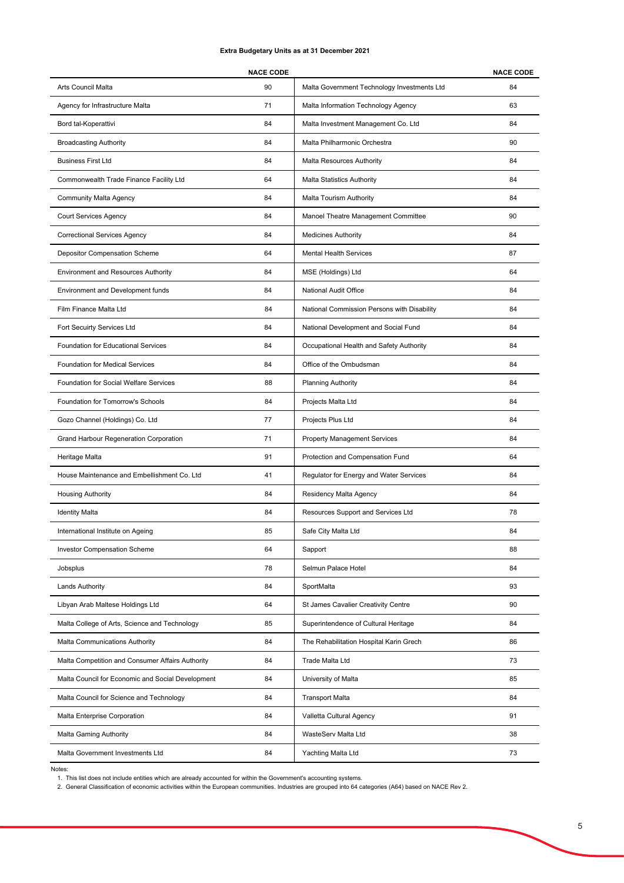#### **Extra Budgetary Units as at 31 December 2021**

|                                                   | <b>NACE CODE</b> |                                             | <b>NACE CODE</b> |
|---------------------------------------------------|------------------|---------------------------------------------|------------------|
| Arts Council Malta                                | 90               | Malta Government Technology Investments Ltd | 84               |
| Agency for Infrastructure Malta                   | 71               | Malta Information Technology Agency         | 63               |
| Bord tal-Koperattivi                              | 84               | Malta Investment Management Co. Ltd         | 84               |
| <b>Broadcasting Authority</b>                     | 84               | Malta Philharmonic Orchestra                | 90               |
| <b>Business First Ltd</b>                         | 84               | Malta Resources Authority                   | 84               |
| Commonwealth Trade Finance Facility Ltd           | 64               | <b>Malta Statistics Authority</b>           | 84               |
| <b>Community Malta Agency</b>                     | 84               | <b>Malta Tourism Authority</b>              | 84               |
| Court Services Agency                             | 84               | Manoel Theatre Management Committee         | 90               |
| <b>Correctional Services Agency</b>               | 84               | <b>Medicines Authority</b>                  | 84               |
| Depositor Compensation Scheme                     | 64               | <b>Mental Health Services</b>               | 87               |
| <b>Environment and Resources Authority</b>        | 84               | MSE (Holdings) Ltd                          | 64               |
| Environment and Development funds                 | 84               | National Audit Office                       | 84               |
| Film Finance Malta Ltd                            | 84               | National Commission Persons with Disability | 84               |
| Fort Secuirty Services Ltd                        | 84               | National Development and Social Fund        | 84               |
| Foundation for Educational Services               | 84               | Occupational Health and Safety Authority    | 84               |
| <b>Foundation for Medical Services</b>            | 84               | Office of the Ombudsman                     | 84               |
| Foundation for Social Welfare Services            | 88               | <b>Planning Authority</b>                   | 84               |
| Foundation for Tomorrow's Schools                 | 84               | Projects Malta Ltd                          | 84               |
| Gozo Channel (Holdings) Co. Ltd                   | 77               | Projects Plus Ltd                           | 84               |
| Grand Harbour Regeneration Corporation            | 71               | <b>Property Management Services</b>         | 84               |
| Heritage Malta                                    | 91               | Protection and Compensation Fund            | 64               |
| House Maintenance and Embellishment Co. Ltd       | 41               | Regulator for Energy and Water Services     | 84               |
| <b>Housing Authority</b>                          | 84               | Residency Malta Agency                      | 84               |
| <b>Identity Malta</b>                             | 84               | Resources Support and Services Ltd          | 78               |
| International Institute on Ageing                 | 85               | Safe City Malta Ltd                         | 84               |
| <b>Investor Compensation Scheme</b>               | 64               | Sapport                                     | 88               |
| Jobsplus                                          | 78               | Selmun Palace Hotel                         | 84               |
| <b>Lands Authority</b>                            | 84               | SportMalta                                  | 93               |
| Libyan Arab Maltese Holdings Ltd                  | 64               | St James Cavalier Creativity Centre         | 90               |
| Malta College of Arts, Science and Technology     | 85               | Superintendence of Cultural Heritage        | 84               |
| Malta Communications Authority                    | 84               | The Rehabilitation Hospital Karin Grech     | 86               |
| Malta Competition and Consumer Affairs Authority  | 84               | Trade Malta Ltd                             | 73               |
| Malta Council for Economic and Social Development | 84               | University of Malta                         | 85               |
| Malta Council for Science and Technology          | 84               | <b>Transport Malta</b>                      | 84               |
| Malta Enterprise Corporation                      | 84               | Valletta Cultural Agency                    | 91               |
| Malta Gaming Authority                            | 84               | WasteServ Malta Ltd                         | 38               |
| Malta Government Investments Ltd                  | 84               | Yachting Malta Ltd                          | 73               |

Notes:

1. This list does not include entities which are already accounted for within the Government's accounting systems.

2. General Classification of economic activities within the European communities. Industries are grouped into 64 categories (A64) based on NACE Rev 2.